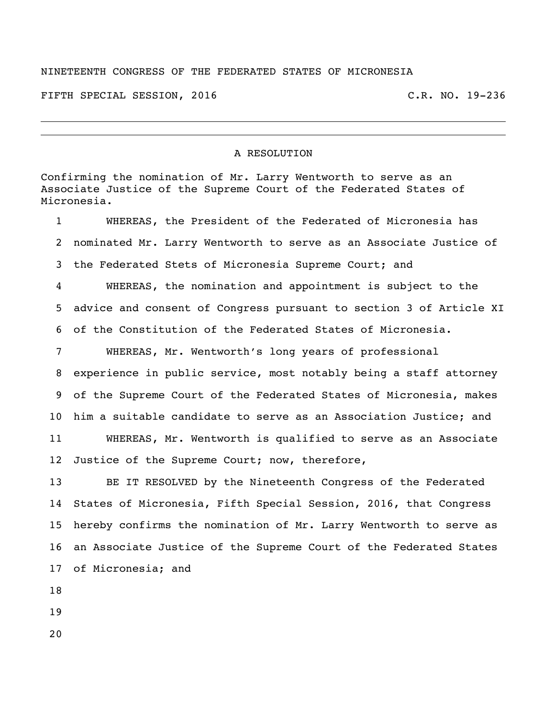## NINETEENTH CONGRESS OF THE FEDERATED STATES OF MICRONESIA

FIFTH SPECIAL SESSION, 2016 C.R. NO. 19-236

## A RESOLUTION

Confirming the nomination of Mr. Larry Wentworth to serve as an Associate Justice of the Supreme Court of the Federated States of Micronesia.

 WHEREAS, the President of the Federated of Micronesia has nominated Mr. Larry Wentworth to serve as an Associate Justice of the Federated Stets of Micronesia Supreme Court; and WHEREAS, the nomination and appointment is subject to the advice and consent of Congress pursuant to section 3 of Article XI of the Constitution of the Federated States of Micronesia. WHEREAS, Mr. Wentworth's long years of professional experience in public service, most notably being a staff attorney of the Supreme Court of the Federated States of Micronesia, makes him a suitable candidate to serve as an Association Justice; and WHEREAS, Mr. Wentworth is qualified to serve as an Associate Justice of the Supreme Court; now, therefore, BE IT RESOLVED by the Nineteenth Congress of the Federated States of Micronesia, Fifth Special Session, 2016, that Congress hereby confirms the nomination of Mr. Larry Wentworth to serve as an Associate Justice of the Supreme Court of the Federated States of Micronesia; and